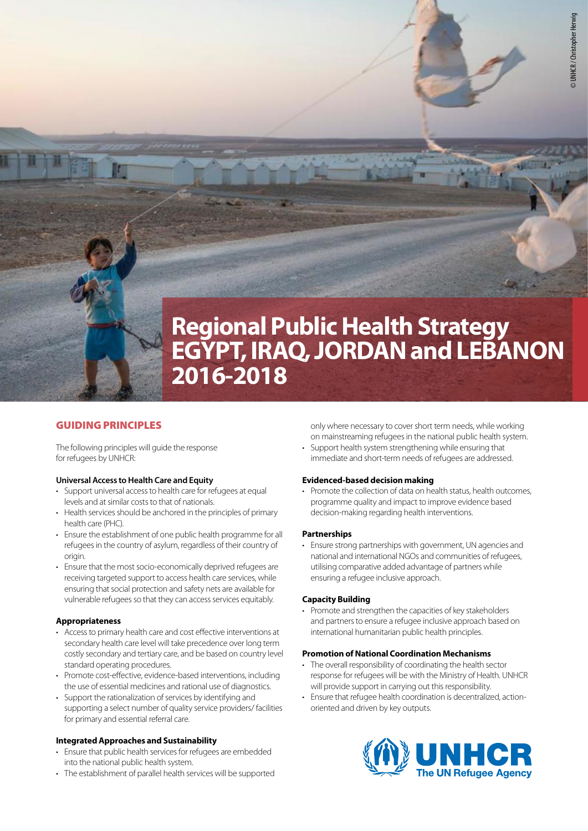

# **Regional Public Health Strategy EGYPT, IRAQ, JORDAN and LEBANON 2016-2018**

# GUIDING PRINCIPLES

The following principles will guide the response for refugees by UNHCR:

# **Universal Access to Health Care and Equity**

- Support universal access to health care for refugees at equal levels and at similar costs to that of nationals.
- Health services should be anchored in the principles of primary health care (PHC).
- Ensure the establishment of one public health programme for all refugees in the country of asylum, regardless of their country of origin.
- Ensure that the most socio-economically deprived refugees are receiving targeted support to access health care services, while ensuring that social protection and safety nets are available for vulnerable refugees so that they can access services equitably.

# **Appropriateness**

- Access to primary health care and cost effective interventions at secondary health care level will take precedence over long term costly secondary and tertiary care, and be based on country level standard operating procedures.
- Promote cost-effective, evidence-based interventions, including the use of essential medicines and rational use of diagnostics.
- Support the rationalization of services by identifying and supporting a select number of quality service providers/ facilities for primary and essential referral care.

# **Integrated Approaches and Sustainability**

- Ensure that public health services for refugees are embedded into the national public health system.
- The establishment of parallel health services will be supported

only where necessary to cover short term needs, while working on mainstreaming refugees in the national public health system.

• Support health system strengthening while ensuring that immediate and short-term needs of refugees are addressed.

# **Evidenced-based decision making**

• Promote the collection of data on health status, health outcomes, programme quality and impact to improve evidence based decision-making regarding health interventions.

# **Partnerships**

• Ensure strong partnerships with government, UN agencies and national and international NGOs and communities of refugees, utilising comparative added advantage of partners while ensuring a refugee inclusive approach.

# **Capacity Building**

• Promote and strengthen the capacities of key stakeholders and partners to ensure a refugee inclusive approach based on international humanitarian public health principles.

#### **Promotion of National Coordination Mechanisms**

- The overall responsibility of coordinating the health sector response for refugees will be with the Ministry of Health. UNHCR will provide support in carrying out this responsibility.
- Ensure that refugee health coordination is decentralized, actionoriented and driven by key outputs.

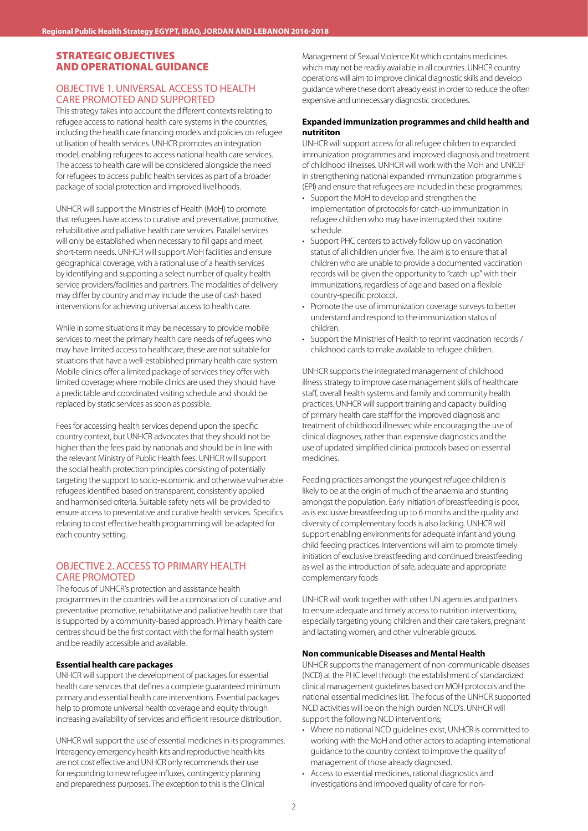# STRATEGIC OBJECTIVES AND OPERATIONAL GUIDANCE

# OBJECTIVE 1. UNIVERSAL ACCESS TO HEALTH CARE PROMOTED AND SUPPORTED

This strategy takes into account the different contexts relating to refugee access to national health care systems in the countries, including the health care financing models and policies on refugee utilisation of health services. UNHCR promotes an integration model, enabling refugees to access national health care services. The access to health care will be considered alongside the need for refugees to access public health services as part of a broader package of social protection and improved livelihoods.

UNHCR will support the Ministries of Health (MoH) to promote that refugees have access to curative and preventative, promotive, rehabilitative and palliative health care services. Parallel services will only be established when necessary to fill gaps and meet short-term needs. UNHCR will support MoH facilities and ensure geographical coverage, with a rational use of a health services by identifying and supporting a select number of quality health service providers/facilities and partners. The modalities of delivery may differ by country and may include the use of cash based interventions for achieving universal access to health care.

While in some situations it may be necessary to provide mobile services to meet the primary health care needs of refugees who may have limited access to healthcare, these are not suitable for situations that have a well-established primary health care system. Mobile clinics offer a limited package of services they offer with limited coverage; where mobile clinics are used they should have a predictable and coordinated visiting schedule and should be replaced by static services as soon as possible.

Fees for accessing health services depend upon the specific country context, but UNHCR advocates that they should not be higher than the fees paid by nationals and should be in line with the relevant Ministry of Public Health fees. UNHCR will support the social health protection principles consisting of potentially targeting the support to socio-economic and otherwise vulnerable refugees identified based on transparent, consistently applied and harmonised criteria. Suitable safety nets will be provided to ensure access to preventative and curative health services. Specifics relating to cost effective health programming will be adapted for each country setting.

# OBJECTIVE 2. ACCESS TO PRIMARY HEALTH CARE PROMOTED

The focus of UNHCR's protection and assistance health programmes in the countries will be a combination of curative and preventative promotive, rehabilitative and palliative health care that is supported by a community-based approach. Primary health care centres should be the first contact with the formal health system and be readily accessible and available.

#### **Essential health care packages**

UNHCR will support the development of packages for essential health care services that defines a complete guaranteed minimum primary and essential health care interventions. Essential packages help to promote universal health coverage and equity through increasing availability of services and efficient resource distribution.

UNHCR will support the use of essential medicines in its programmes. Interagency emergency health kits and reproductive health kits are not cost effective and UNHCR only recommends their use for responding to new refugee influxes, contingency planning and preparedness purposes. The exception to this is the Clinical

Management of Sexual Violence Kit which contains medicines which may not be readily available in all countries. UNHCR country operations will aim to improve clinical diagnostic skills and develop guidance where these don't already exist in order to reduce the often expensive and unnecessary diagnostic procedures.

#### **Expanded immunization programmes and child health and nutrititon**

UNHCR will support access for all refugee children to expanded immunization programmes and improved diagnosis and treatment of childhood illnesses. UNHCR will work with the MoH and UNICEF in strengthening national expanded immunization programme s (EPI) and ensure that refugees are included in these programmes;

- Support the MoH to develop and strengthen the implementation of protocols for catch-up immunization in refugee children who may have interrupted their routine schedule.
- Support PHC centers to actively follow up on vaccination status of all children under five. The aim is to ensure that all children who are unable to provide a documented vaccination records will be given the opportunity to "catch-up" with their immunizations, regardless of age and based on a flexible country-specific protocol.
- Promote the use of immunization coverage surveys to better understand and respond to the immunization status of children.
- Support the Ministries of Health to reprint vaccination records / childhood cards to make available to refugee children.

UNHCR supports the integrated management of childhood illness strategy to improve case management skills of healthcare staff, overall health systems and family and community health practices. UNHCR will support training and capacity building of primary health care staff for the improved diagnosis and treatment of childhood illnesses; while encouraging the use of clinical diagnoses, rather than expensive diagnostics and the use of updated simplified clinical protocols based on essential medicines.

Feeding practices amongst the youngest refugee children is likely to be at the origin of much of the anaemia and stunting amongst the population. Early initiation of breastfeeding is poor, as is exclusive breastfeeding up to 6 months and the quality and diversity of complementary foods is also lacking. UNHCR will support enabling environments for adequate infant and young child feeding practices. Interventions will aim to promote timely initiation of exclusive breastfeeding and continued breastfeeding as well as the introduction of safe, adequate and appropriate complementary foods

UNHCR will work together with other UN agencies and partners to ensure adequate and timely access to nutrition interventions, especially targeting young children and their care takers, pregnant and lactating women, and other vulnerable groups.

#### **Non communicable Diseases and Mental Health**

UNHCR supports the management of non-communicable diseases (NCD) at the PHC level through the establishment of standardized clinical management guidelines based on MOH protocols and the national essential medicines list. The focus of the UNHCR supported NCD activities will be on the high burden NCD's. UNHCR will support the following NCD interventions;

- Where no national NCD guidelines exist, UNHCR is committed to working with the MoH and other actors to adapting international guidance to the country context to improve the quality of management of those already diagnosed.
- Access to essential medicines, rational diagnostics and investigations and irmpoved quality of care for non-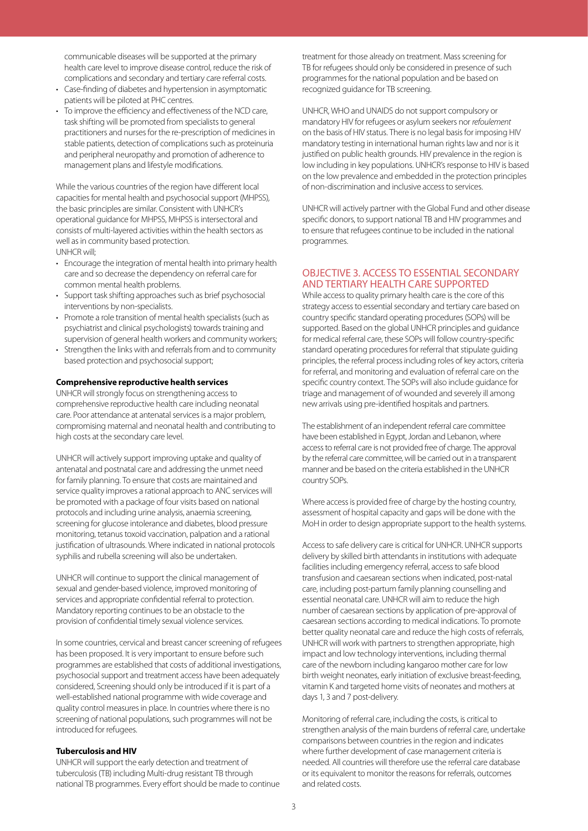communicable diseases will be supported at the primary health care level to improve disease control, reduce the risk of complications and secondary and tertiary care referral costs.

- Case-finding of diabetes and hypertension in asymptomatic patients will be piloted at PHC centres.
- To improve the efficiency and effectiveness of the NCD care, task shifting will be promoted from specialists to general practitioners and nurses for the re-prescription of medicines in stable patients, detection of complications such as proteinuria and peripheral neuropathy and promotion of adherence to management plans and lifestyle modifications.

While the various countries of the region have different local capacities for mental health and psychosocial support (MHPSS), the basic principles are similar. Consistent with UNHCR's operational guidance for MHPSS, MHPSS is intersectoral and consists of multi-layered activities within the health sectors as well as in community based protection. UNHCR will;

- Encourage the integration of mental health into primary health care and so decrease the dependency on referral care for common mental health problems.
- Support task shifting approaches such as brief psychosocial interventions by non-specialists.
- Promote a role transition of mental health specialists (such as psychiatrist and clinical psychologists) towards training and supervision of general health workers and community workers;
- Strengthen the links with and referrals from and to community based protection and psychosocial support;

#### **Comprehensive reproductive health services**

UNHCR will strongly focus on strengthening access to comprehensive reproductive health care including neonatal care. Poor attendance at antenatal services is a major problem, compromising maternal and neonatal health and contributing to high costs at the secondary care level.

UNHCR will actively support improving uptake and quality of antenatal and postnatal care and addressing the unmet need for family planning. To ensure that costs are maintained and service quality improves a rational approach to ANC services will be promoted with a package of four visits based on national protocols and including urine analysis, anaemia screening, screening for glucose intolerance and diabetes, blood pressure monitoring, tetanus toxoid vaccination, palpation and a rational justification of ultrasounds. Where indicated in national protocols syphilis and rubella screening will also be undertaken.

UNHCR will continue to support the clinical management of sexual and gender-based violence, improved monitoring of services and appropriate confidential referral to protection. Mandatory reporting continues to be an obstacle to the provision of confidential timely sexual violence services.

In some countries, cervical and breast cancer screening of refugees has been proposed. It is very important to ensure before such programmes are established that costs of additional investigations, psychosocial support and treatment access have been adequately considered, Screening should only be introduced if it is part of a well-established national programme with wide coverage and quality control measures in place. In countries where there is no screening of national populations, such programmes will not be introduced for refugees.

#### **Tuberculosis and HIV**

UNHCR will support the early detection and treatment of tuberculosis (TB) including Multi-drug resistant TB through national TB programmes. Every effort should be made to continue treatment for those already on treatment. Mass screening for TB for refugees should only be considered in presence of such programmes for the national population and be based on recognized guidance for TB screening.

UNHCR, WHO and UNAIDS do not support compulsory or mandatory HIV for refugees or asylum seekers nor *refoulement* on the basis of HIV status. There is no legal basis for imposing HIV mandatory testing in international human rights law and nor is it justified on public health grounds. HIV prevalence in the region is low including in key populations. UNHCR's response to HIV is based on the low prevalence and embedded in the protection principles of non-discrimination and inclusive access to services.

UNHCR will actively partner with the Global Fund and other disease specific donors, to support national TB and HIV programmes and to ensure that refugees continue to be included in the national programmes.

# OBJECTIVE 3. ACCESS TO ESSENTIAL SECONDARY AND TERTIARY HEALTH CARE SUPPORTED

While access to quality primary health care is the core of this strategy access to essential secondary and tertiary care based on country specific standard operating procedures (SOPs) will be supported. Based on the global UNHCR principles and guidance for medical referral care, these SOPs will follow country-specific standard operating procedures for referral that stipulate guiding principles, the referral process including roles of key actors, criteria for referral, and monitoring and evaluation of referral care on the specific country context. The SOPs will also include guidance for triage and management of of wounded and severely ill among new arrivals using pre-identified hospitals and partners.

The establishment of an independent referral care committee have been established in Egypt, Jordan and Lebanon, where access to referral care is not provided free of charge. The approval by the referral care committee, will be carried out in a transparent manner and be based on the criteria established in the UNHCR country SOPs.

Where access is provided free of charge by the hosting country, assessment of hospital capacity and gaps will be done with the MoH in order to design appropriate support to the health systems.

Access to safe delivery care is critical for UNHCR. UNHCR supports delivery by skilled birth attendants in institutions with adequate facilities including emergency referral, access to safe blood transfusion and caesarean sections when indicated, post-natal care, including post-partum family planning counselling and essential neonatal care. UNHCR will aim to reduce the high number of caesarean sections by application of pre-approval of caesarean sections according to medical indications. To promote better quality neonatal care and reduce the high costs of referrals, UNHCR will work with partners to strengthen appropriate, high impact and low technology interventions, including thermal care of the newborn including kangaroo mother care for low birth weight neonates, early initiation of exclusive breast-feeding, vitamin K and targeted home visits of neonates and mothers at days 1, 3 and 7 post-delivery.

Monitoring of referral care, including the costs, is critical to strengthen analysis of the main burdens of referral care, undertake comparisons between countries in the region and indicates where further development of case management criteria is needed. All countries will therefore use the referral care database or its equivalent to monitor the reasons for referrals, outcomes and related costs.